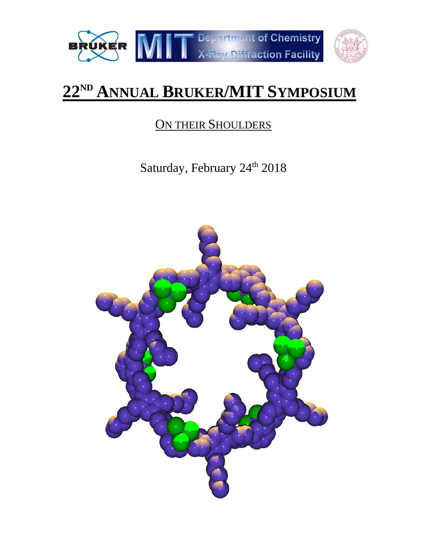



# **22ND ANNUAL BRUKER/MIT SYMPOSIUM**

## ON THEIR SHOULDERS

Saturday, February 24<sup>th</sup> 2018

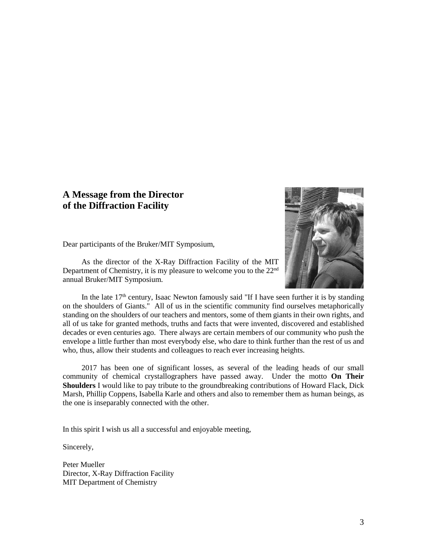### **A Message from the Director of the Diffraction Facility**



Dear participants of the Bruker/MIT Symposium,

As the director of the X-Ray Diffraction Facility of the MIT Department of Chemistry, it is my pleasure to welcome you to the 22nd annual Bruker/MIT Symposium.

In the late  $17<sup>th</sup>$  century, Isaac Newton famously said "If I have seen further it is by standing on the shoulders of Giants." All of us in the scientific community find ourselves metaphorically standing on the shoulders of our teachers and mentors, some of them giants in their own rights, and all of us take for granted methods, truths and facts that were invented, discovered and established decades or even centuries ago. There always are certain members of our community who push the envelope a little further than most everybody else, who dare to think further than the rest of us and who, thus, allow their students and colleagues to reach ever increasing heights.

2017 has been one of significant losses, as several of the leading heads of our small community of chemical crystallographers have passed away. Under the motto **On Their Shoulders** I would like to pay tribute to the groundbreaking contributions of Howard Flack, Dick Marsh, Phillip Coppens, Isabella Karle and others and also to remember them as human beings, as the one is inseparably connected with the other.

In this spirit I wish us all a successful and enjoyable meeting,

Sincerely,

Peter Mueller Director, X-Ray Diffraction Facility MIT Department of Chemistry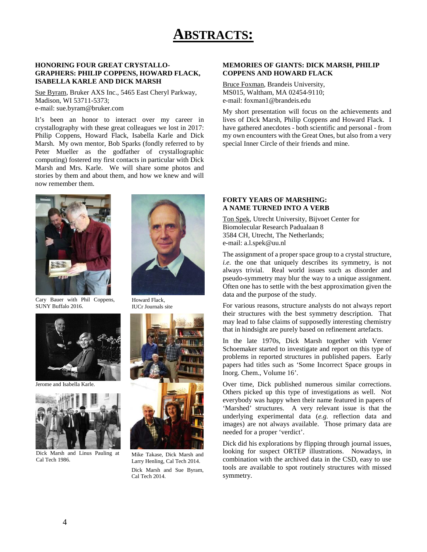## **ABSTRACTS:**

#### **HONORING FOUR GREAT CRYSTALLO-GRAPHERS: PHILIP COPPENS, HOWARD FLACK, ISABELLA KARLE AND DICK MARSH**

Sue Byram, Bruker AXS Inc., 5465 East Cheryl Parkway, Madison, WI 53711-5373; e-mail: sue.byram@bruker.com

It's been an honor to interact over my career in crystallography with these great colleagues we lost in 2017: Philip Coppens, Howard Flack, Isabella Karle and Dick Marsh. My own mentor, Bob Sparks (fondly referred to by Peter Mueller as the godfather of crystallographic computing) fostered my first contacts in particular with Dick Marsh and Mrs. Karle. We will share some photos and stories by them and about them, and how we knew and will now remember them.





Cary Bauer with Phil Coppens, SUNY Buffalo 2016.



Jerome and Isabella Karle.



Dick Marsh and Linus Pauling at Cal Tech 1986.



Mike Takase, Dick Marsh and Larry Henling, Cal Tech 2014. Dick Marsh and Sue Byram, Cal Tech 2014.

#### **MEMORIES OF GIANTS: DICK MARSH, PHILIP COPPENS AND HOWARD FLACK**

Bruce Foxman, Brandeis University, MS015, Waltham, MA 02454-9110; e-mail: foxman1@brandeis.edu

My short presentation will focus on the achievements and lives of Dick Marsh, Philip Coppens and Howard Flack. I have gathered anecdotes - both scientific and personal - from my own encounters with the Great Ones, but also from a very special Inner Circle of their friends and mine.

#### **FORTY YEARS OF MARSHING: A NAME TURNED INTO A VERB**

Ton Spek, Utrecht University, Bijvoet Center for Biomolecular Research Padualaan 8 3584 CH, Utrecht, The Netherlands; e-mail: a.l.spek@uu.nl

The assignment of a proper space group to a crystal structure, *i.e.* the one that uniquely describes its symmetry, is not always trivial. Real world issues such as disorder and pseudo-symmetry may blur the way to a unique assignment. Often one has to settle with the best approximation given the data and the purpose of the study.

For various reasons, structure analysts do not always report their structures with the best symmetry description. That may lead to false claims of supposedly interesting chemistry that in hindsight are purely based on refinement artefacts.

In the late 1970s, Dick Marsh together with Verner Schoemaker started to investigate and report on this type of problems in reported structures in published papers. Early papers had titles such as 'Some Incorrect Space groups in Inorg. Chem., Volume 16'.

Over time, Dick published numerous similar corrections. Others picked up this type of investigations as well. Not everybody was happy when their name featured in papers of 'Marshed' structures. A very relevant issue is that the underlying experimental data (*e.g.* reflection data and images) are not always available. Those primary data are needed for a proper 'verdict'.

Dick did his explorations by flipping through journal issues, looking for suspect ORTEP illustrations. Nowadays, in combination with the archived data in the CSD, easy to use tools are available to spot routinely structures with missed symmetry.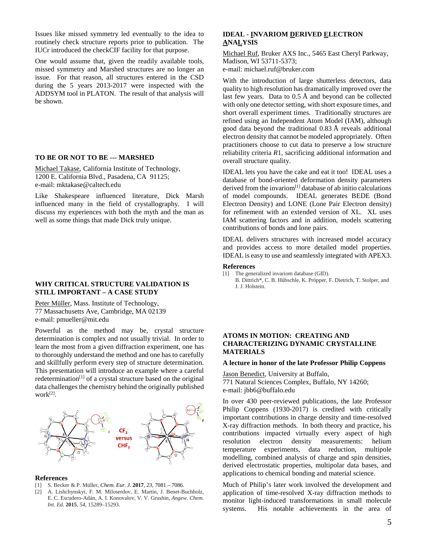Issues like missed symmetry led eventually to the idea to routinely check structure reports prior to publication. The IUCr introduced the checkCIF facility for that purpose.

One would assume that, given the readily available tools, missed symmetry and Marshed structures are no longer an issue. For that reason, all structures entered in the CSD during the 5 years 2013-2017 were inspected with the ADDSYM tool in PLATON. The result of that analysis will be shown.

#### **TO BE OR NOT TO BE --- MARSHED**

Michael Takase, California Institute of Technology, 1200 E. California Blvd., Pasadena, CA 91125; e-mail: mktakase@caltech.edu

Like Shakespeare influenced literature, Dick Marsh influenced many in the field of crystallography. I will discuss my experiences with both the myth and the man as well as some things that made Dick truly unique.

#### **WHY CRITICAL STRUCTURE VALIDATION IS STILL IMPORTANT – A CASE STUDY**

Peter Müller, Mass. Institute of Technology, 77 Massachusetts Ave, Cambridge, MA 02139 e-mail: pmueller@mit.edu

Powerful as the method may be, crystal structure determination is complex and not usually trivial. In order to learn the most from a given diffraction experiment, one has to thoroughly understand the method and one has to carefully and skillfully perform every step of structure determination. This presentation will introduce an example where a careful redetermination<sup>[1]</sup> of a crystal structure based on the original data challenges the chemistry behind the originally published work[2].



#### **References**

- [1] S. Becker & P. Müller, *Chem. Eur. J.* **2017**, *23*, 7081 7086.
- [2] A. Lishchynskyi, F. M. Miloserdov, E. Martin, J. Benet-Buchholz, E. C. Escudero-Adán, A. I. Konovalov, V. V. Grushin, *Angew. Chem. Int. Ed.* **2015**, *54*, 15289–15293.

#### **IDEAL - INVARIOM DERIVED ELECTRON ANALYSIS**

Michael Ruf, Bruker AXS Inc., 5465 East Cheryl Parkway, Madison, WI 53711-5373; e-mail: michael.ruf@bruker.com

With the introduction of large shutterless detectors, data quality to high resolution has dramatically improved over the last few years. Data to  $0.5 \text{ Å}$  and beyond can be collected with only one detector setting, with short exposure times, and short overall experiment times. Traditionally structures are refined using an Independent Atom Model (IAM), although good data beyond the traditional 0.83 Å reveals additional electron density that cannot be modeled appropriately. Often practitioners choose to cut data to preserve a low structure reliability criteria *R*1, sacrificing additional information and overall structure quality.

IDEAL lets you have the cake and eat it too! IDEAL uses a database of bond-oriented deformation density parameters derived from the invariom<sup>[1]</sup> database of ab initio calculations of model compounds. IDEAL generates BEDE (Bond Electron Density) and LONE (Lone Pair Electron density) for refinement with an extended version of XL. XL uses IAM scattering factors and in addition, models scattering contributions of bonds and lone pairs.

IDEAL delivers structures with increased model accuracy and provides access to more detailed model properties. IDEAL is easy to use and seamlessly integrated with APEX3.

#### **References**

- [1] The generalized invariom database (GID).
	- B. Dittrich\*, C. B. Hübschle, K. Pröpper, F. Dietrich, T. Stolper, and J. J. Holstein.

#### **ATOMS IN MOTION: CREATING AND CHARACTERIZING DYNAMIC CRYSTALLINE MATERIALS**

#### **A lecture in honor of the late Professor Philip Coppens**

Jason Benedict, University at Buffalo, 771 Natural Sciences Complex, Buffalo, NY 14260; e-mail: jbb6@buffalo.edu

In over 430 peer-reviewed publications, the late Professor Philip Coppens (1930-2017) is credited with critically important contributions in charge density and time-resolved X-ray diffraction methods. In both theory and practice, his contributions impacted virtually every aspect of high resolution electron density measurements: helium temperature experiments, data reduction, multipole modelling, combined analysis of charge and spin densities, derived electrostatic properties, multipolar data bases, and applications to chemical bonding and material science.

Much of Philip's later work involved the development and application of time-resolved X-ray diffraction methods to monitor light-induced transformations in small molecule systems. His notable achievements in the area of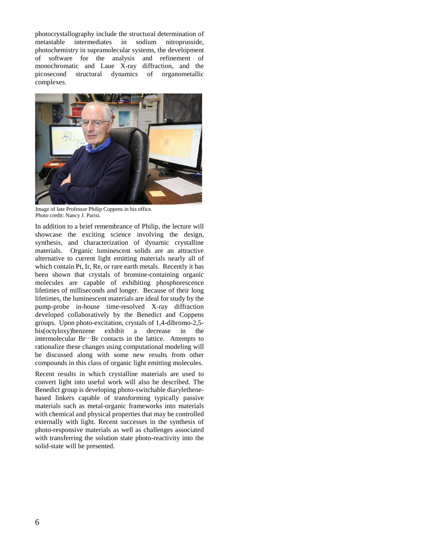photocrystallography include the structural determination of metastable intermediates in sodium nitroprusside, photochemistry in supramolecular systems, the development of software for the analysis and refinement of monochromatic and Laue X-ray diffraction, and the picosecond structural dynamics of organometallic complexes.



Image of late Professor Philip Coppens in his office. Photo credit: Nancy J. Parisi.

In addition to a brief remembrance of Philip, the lecture will showcase the exciting science involving the design, synthesis, and characterization of dynamic crystalline materials. Organic luminescent solids are an attractive alternative to current light emitting materials nearly all of which contain Pt, Ir, Re, or rare earth metals. Recently it has been shown that crystals of bromine-containing organic molecules are capable of exhibiting phosphorescence lifetimes of milliseconds and longer. Because of their long lifetimes, the luminescent materials are ideal for study by the pump-probe in-house time-resolved X-ray diffraction developed collaboratively by the Benedict and Coppens groups. Upon photo-excitation, crystals of 1,4-dibromo-2,5 bis(octyloxy)benzene exhibit a decrease in the intermolecular Br…Br contacts in the lattice. Attempts to rationalize these changes using computational modeling will be discussed along with some new results from other compounds in this class of organic light emitting molecules.

Recent results in which crystalline materials are used to convert light into useful work will also be described. The Benedict group is developing photo-switchable diarylethenebased linkers capable of transforming typically passive materials such as metal-organic frameworks into materials with chemical and physical properties that may be controlled externally with light. Recent successes in the synthesis of photo-responsive materials as well as challenges associated with transferring the solution state photo-reactivity into the solid-state will be presented.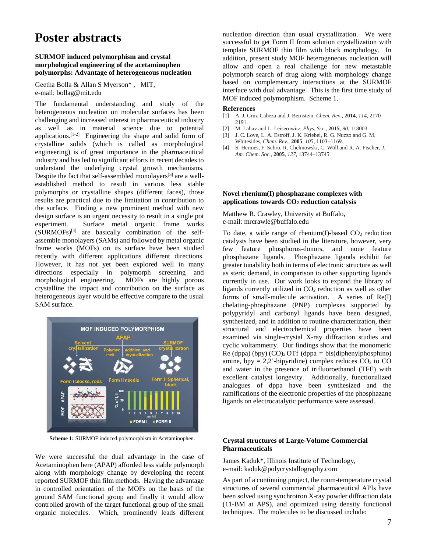### **Poster abstracts**

#### **SURMOF induced polymorphism and crystal morphological engineering of the acetaminophen polymorphs: Advantage of heterogeneous nucleation**

Geetha Bolla & Allan S Myerson\* , MIT, e-mail: bollag@mit.edu

The fundamental understanding and study of the heterogeneous nucleation on molecular surfaces has been challenging and increased interest in pharmaceutical industry as well as in material science due to potential applications.<sup>[1-2]</sup> Engineering the shape and solid form of crystalline solids (which is called as morphological engineering) is of great importance in the pharmaceutical industry and has led to significant efforts in recent decades to understand the underlying crystal growth mechanisms. Despite the fact that self-assembled monolayers<sup>[3]</sup> are a wellestablished method to result in various less stable polymorphs or crystalline shapes (different faces), those results are practical due to the limitation in contribution to the surface. Finding a new prominent method with new design surface is an urgent necessity to result in a single pot experiment. Surface metal organic frame works  $(SURMOFs)^{[4]}$  are basically combination of the selfassemble monolayers (SAMs) and followed by metal organic frame works (MOFs) on its surface have been studied recently with different applications different directions. However, it has not yet been explored well in many directions especially in polymorph screening and morphological engineering. MOFs are highly porous crystalline the impact and contribution on the surface as heterogeneous layer would be effective compare to the usual SAM surface.



**Scheme 1:** SURMOF induced polymorphism in Acetaminophen.

We were successful the dual advantage in the case of Acetaminophen here (APAP) afforded less stable polymorph along with morphology change by developing the recent reported SURMOF thin film methods. Having the advantage in controlled orientation of the MOFs on the basis of the ground SAM functional group and finally it would allow controlled growth of the target functional group of the small organic molecules. Which, prominently leads different nucleation direction than usual crystallization. We were successful to get Form II from solution crystallization with template SURMOF thin film with block morphology. In addition, present study MOF heterogeneous nucleation will allow and open a real challenge for new metastable polymorph search of drug along with morphology change based on complementary interactions at the SURMOF interface with dual advantage. This is the first time study of MOF induced polymorphism. Scheme 1.

#### **References**

- [1] A. J. Cruz-Cabeza and J. Bernstein, *Chem. Rev.*, **2014**, *114*, 2170– 2191.
- [2] M. Lahav and L. Leiserowitz, *Phys. Scr.*, **2015**, *90*, 118003.
- [3] J. C. Love, L. A. Estroff, J. K. Kriebel, R. G. Nuzzo and G. M. Whitesides, *Chem. Rev.*, **2005**, *105*, 1103−1169.
- [4] S. Hermes, F. Schro, R. Chelmowski, C. Wöll and R. A. Fischer, *J. Am. Chem. Soc.*, **2005**, *127*, 13744–13745.

#### **Novel rhenium(I) phosphazane complexes with applications towards CO2 reduction catalysis**

Matthew R. Crawley, University at Buffalo, e-mail: mrcrawle@buffalo.edu

To date, a wide range of rhenium(I)-based  $CO<sub>2</sub>$  reduction catalysts have been studied in the literature, however, very few feature phosphorus-donors, and none feature phosphazane ligands. Phosphazane ligands exhibit far greater tunability both in terms of electronic structure as well as steric demand, in comparison to other supporting ligands currently in use. Our work looks to expand the library of ligands currently utilized in  $CO<sub>2</sub>$  reduction as well as other forms of small-molecule activation. A series of Re(I) chelating-phosphazane (PNP) complexes supported by polypyridyl and carbonyl ligands have been designed, synthesized, and in addition to routine characterization, their structural and electrochemical properties have been examined via single-crystal X-ray diffraction studies and cyclic voltammetry. Our findings show that the monomeric Re (dppa) (bpy)  $(CO)_2$  OTf (dppa = bis(diphenylphosphino) amine, bpy =  $2,2$ '-bipyridine) complex reduces  $CO<sub>2</sub>$  to  $CO$ and water in the presence of trifluoroethanol (TFE) with excellent catalyst longevity. Additionally, functionalized analogues of dppa have been synthesized and the ramifications of the electronic properties of the phosphazane ligands on electrocatalytic performance were assessed.

#### **Crystal structures of Large-Volume Commercial Pharmaceuticals**

James Kaduk\*, Illinois Institute of Technology, e-mail: kaduk@polycrystallography.com

As part of a continuing project, the room-temperature crystal structures of several commercial pharmaceutical APIs have been solved using synchrotron X-ray powder diffraction data (11-BM at APS), and optimized using density functional techniques. The molecules to be discussed include: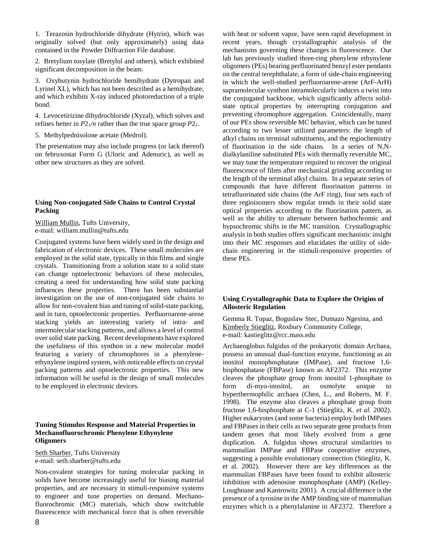1. Terazosin hydrochloride dihydrate (Hytrin), which was originally solved (but only approximately) using data contained in the Powder Diffraction File database.

2. Bretylium tosylate (Bretylol and others), which exhibited significant decomposition in the beam.

3. Oxybutynin hydrochloride hemihydrate (Dytropan and Lyrinel XL), which has not been described as a hemihydrate, and which exhibits X-ray induced photoreduction of a triple bond.

4. Levocetirizine dihydrochloride (Xyzal), which solves and refines better in  $P2_1/n$  rather than the true space group  $P2_1$ .

5. Methylpednisolone acetate (Medrol).

The presentation may also include progress (or lack thereof) on februxostat Form G (Uloric and Adenuric), as well as other new structures as they are solved.

#### **Using Non-conjugated Side Chains to Control Crystal Packing**

William Mullin, Tufts University, e-mail: william.mullin@tufts.edu

Conjugated systems have been widely used in the design and fabrication of electronic devices. These small molecules are employed in the solid state, typically in thin films and single crystals. Transitioning from a solution state to a solid state can change optoelectronic behaviors of these molecules, creating a need for understanding how solid state packing influences these properties. There has been substantial investigation on the use of non-conjugated side chains to allow for non-covalent bias and tuning of solid-state packing, and in turn, optoelectronic properties. Perfluoroarene-arene stacking yields an interesting variety of intra- and intermolecular stacking patterns, and allows a level of control over solid state packing. Recent developments have explored the usefulness of this synthon in a new molecular model featuring a variety of chromophores in a phenyleneethynylene inspired system, with noticeable effects on crystal packing patterns and optoelectronic properties. This new information will be useful in the design of small molecules to be employed in electronic devices.

#### **Tuning Stimulus Response and Material Properties in Mechanofluorochromic Phenylene Ethynylene Oligomers**

Seth Sharber, Tufts University e-mail: seth.sharber@tufts.edu

Non-covalent strategies for tuning molecular packing in solids have become increasingly useful for biasing material properties, and are necessary in stimuli-responsive systems to engineer and tune properties on demand. Mechanofluorochromic (MC) materials, which show switchable fluorescence with mechanical force that is often reversible

recent years, though crystallographic analysis of the mechanisms governing these changes in fluorescence. Our lab has previously studied three-ring phenylene ethynylene oligomers (PEs) bearing perfluorinated benzyl ester pendants on the central terephthalate, a form of side-chain engineering in which the well-studied perfluoroarene-arene (ArF-ArH) supramolecular synthon intramolecularly induces a twist into the conjugated backbone, which significantly affects solidstate optical properties by interrupting conjugation and preventing chromophore aggregation. Coincidentally, many of our PEs show reversible MC behavior, which can be tuned according to two lesser utilized parameters: the length of alkyl chains on terminal substituents, and the regiochemistry of fluorination in the side chains. In a series of N,Ndialkylaniline substituted PEs with thermally reversible MC, we may tune the temperature required to recover the original fluorescence of films after mechanical grinding according to the length of the terminal alkyl chains. In a separate series of compounds that have different fluorination patterns in tetrafluorinated side chains (the ArF ring), four sets each of three regioisomers show regular trends in their solid state optical properties according to the fluorination pattern, as well as the ability to alternate between bathochromic and hypsochromic shifts in the MC transition. Crystallographic analysis in both studies offers significant mechanistic insight into their MC responses and elucidates the utility of sidechain engineering in the stimuli-responsive properties of these PEs.

with heat or solvent vapor, have seen rapid development in

#### **Using Crystallographic Data to Explore the Origins of Allosteric Regulation**

Gemma R. Topaz, Boguslaw Stec, Dumazo Ngesina, and Kimberly Stieglitz, Roxbury Community College, e-mail: kastieglitz@rcc.mass.edu

Archaeoglobus fulgidus of the prokaryotic domain Archaea, possess an unusual dual-function enzyme, functioning as an inositol monophosphatase (IMPase), and fructose 1,6 bisphosphatase (FBPase) known as AF2372. This enzyme cleaves the phosphate group from inositol 1-phosphate to form di-myo-inositol, an osmolyte unique to hyperthermophilic archaea (Chen, L., and Roberts, M. F. 1998). The enzyme also cleaves a phosphate group from fructose 1,6-bisphosphate at C-1 (Stieglitz, K. *et al.* 2002). Higher eukaryotes (and some bacteria) employ both IMPases and FBPases in their cells as two separate gene products from tandem genes that most likely evolved from a gene duplication. A. fulgidus shows structural similarities to mammalian IMPase and FBPase cooperative enzymes, suggesting a possible evolutionary connection (Stieglitz, K. et al. 2002). However there are key differences as the mammalian FBPases have been found to exhibit allosteric inhibition with adenosine monophosphate (AMP) (Kelley-Loughnane and Kantrowitz 2001). A crucial difference is the presence of a tyrosine in the AMP binding site of mammalian enzymes which is a phenylalanine in AF2372. Therefore a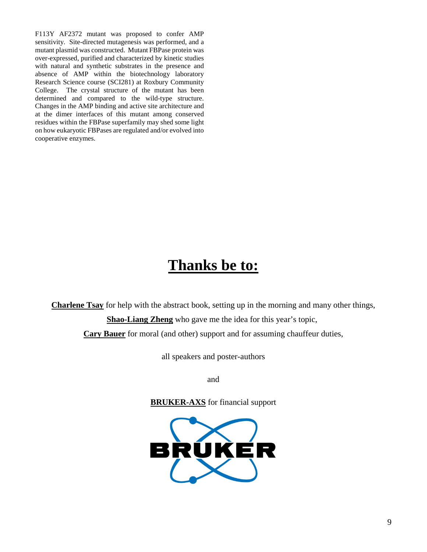F113Y AF2372 mutant was proposed to confer AMP sensitivity. Site-directed mutagenesis was performed, and a mutant plasmid was constructed. Mutant FBPase protein was over-expressed, purified and characterized by kinetic studies with natural and synthetic substrates in the presence and absence of AMP within the biotechnology laboratory Research Science course (SCI281) at Roxbury Community College. The crystal structure of the mutant has been determined and compared to the wild-type structure. Changes in the AMP binding and active site architecture and at the dimer interfaces of this mutant among conserved residues within the FBPase superfamily may shed some light on how eukaryotic FBPases are regulated and/or evolved into cooperative enzymes.

## **Thanks be to:**

**Charlene Tsay** for help with the abstract book, setting up in the morning and many other things, **Shao-Liang Zheng** who gave me the idea for this year's topic,

**Cary Bauer** for moral (and other) support and for assuming chauffeur duties,

all speakers and poster-authors

and

**BRUKER-AXS** for financial support